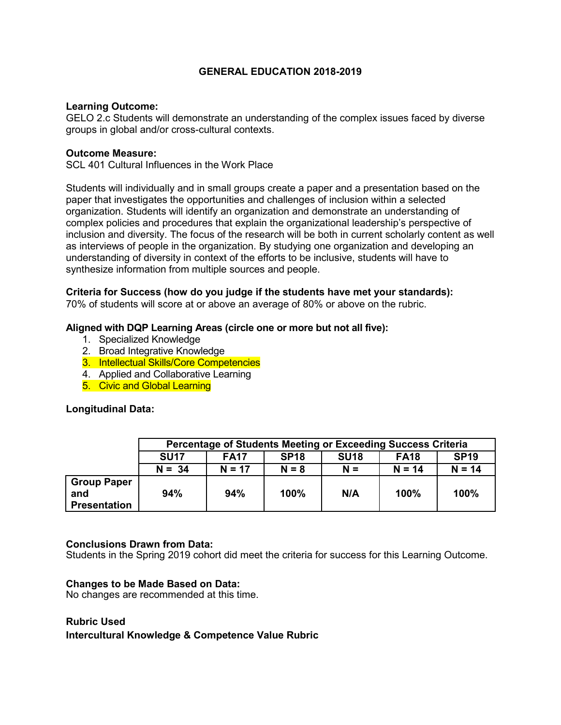## **GENERAL EDUCATION 2018-2019**

#### **Learning Outcome:**

GELO 2.c Students will demonstrate an understanding of the complex issues faced by diverse groups in global and/or cross-cultural contexts.

#### **Outcome Measure:**

SCL 401 Cultural Influences in the Work Place

Students will individually and in small groups create a paper and a presentation based on the paper that investigates the opportunities and challenges of inclusion within a selected organization. Students will identify an organization and demonstrate an understanding of complex policies and procedures that explain the organizational leadership's perspective of inclusion and diversity. The focus of the research will be both in current scholarly content as well as interviews of people in the organization. By studying one organization and developing an understanding of diversity in context of the efforts to be inclusive, students will have to synthesize information from multiple sources and people.

# **Criteria for Success (how do you judge if the students have met your standards):**

70% of students will score at or above an average of 80% or above on the rubric.

### **Aligned with DQP Learning Areas (circle one or more but not all five):**

- 1. Specialized Knowledge
- 2. Broad Integrative Knowledge
- 3. Intellectual Skills/Core Competencies
- 4. Applied and Collaborative Learning
- 5. Civic and Global Learning

### **Longitudinal Data:**

|                                                  | Percentage of Students Meeting or Exceeding Success Criteria |             |             |                  |             |             |  |
|--------------------------------------------------|--------------------------------------------------------------|-------------|-------------|------------------|-------------|-------------|--|
|                                                  | <b>SU17</b>                                                  | <b>FA17</b> | <b>SP18</b> | SU <sub>18</sub> | <b>FA18</b> | <b>SP19</b> |  |
|                                                  | $N = 34$                                                     | $N = 17$    | $N = 8$     | $N =$            | $N = 14$    | $N = 14$    |  |
| <b>Group Paper</b><br>and<br><b>Presentation</b> | 94%                                                          | 94%         | 100%        | N/A              | 100%        | 100%        |  |

### **Conclusions Drawn from Data:**

Students in the Spring 2019 cohort did meet the criteria for success for this Learning Outcome.

### **Changes to be Made Based on Data:**

No changes are recommended at this time.

### **Rubric Used**

**Intercultural Knowledge & Competence Value Rubric**